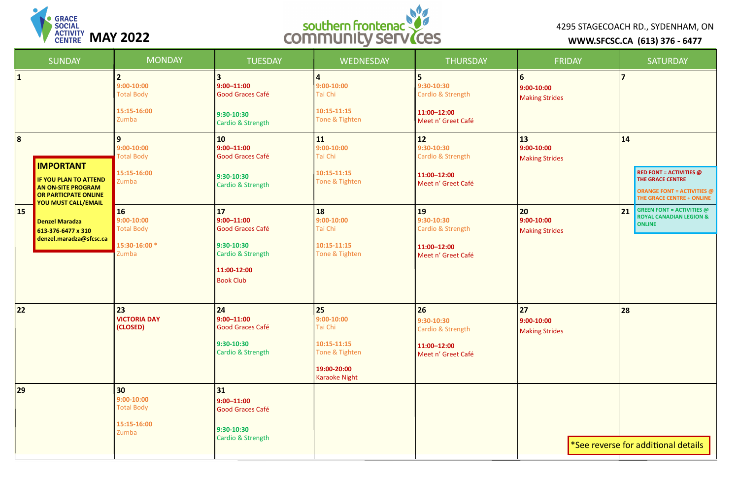|                         | <b>SUNDAY</b>                                                                                                | <b>MONDAY</b>                                                              | <b>TUESDAY</b>                                                                                                                      | WEDNESDAY                                                                                               | <b>THURSDAY</b>                                                                | <b>FRIDAY</b>                                    | <b>SATURDAY</b>                                                                                    |
|-------------------------|--------------------------------------------------------------------------------------------------------------|----------------------------------------------------------------------------|-------------------------------------------------------------------------------------------------------------------------------------|---------------------------------------------------------------------------------------------------------|--------------------------------------------------------------------------------|--------------------------------------------------|----------------------------------------------------------------------------------------------------|
| 1                       |                                                                                                              | $9:00 - 10:00$<br><b>Total Body</b><br>15:15-16:00<br>Zumba                | $9:00 - 11:00$<br>Good Graces Café<br>$9:30-10:30$<br><b>Cardio &amp; Strength</b>                                                  | $\overline{4}$<br>$9:00-10:00$<br>Tai Chi<br>10:15-11:15<br>Tone & Tighten                              | 5<br>9:30-10:30<br>Cardio & Strength<br>11:00-12:00<br>Meet n' Greet Café      | <b>6</b><br>9:00-10:00<br><b>Making Strides</b>  |                                                                                                    |
| $\overline{\mathbf{8}}$ | <b>IMPORTANT</b><br><b>IF YOU PLAN TO ATTEND</b><br><b>AN ON-SITE PROGRAM</b><br><b>OR PARTICPATE ONLINE</b> | 9<br>$9:00 - 10:00$<br><b>Total Body</b><br>15:15-16:00<br>Zumba           | $ 10\rangle$<br>$9:00 - 11:00$<br>Good Graces Café<br>$9:30-10:30$<br><b>Cardio &amp; Strength</b>                                  | <b>11</b><br>$9:00-10:00$<br>Tai Chi<br>10:15-11:15<br>Tone & Tighten                                   | $12$<br>$9:30-10:30$<br>Cardio & Strength<br>11:00-12:00<br>Meet n' Greet Café | <b>13</b><br>9:00-10:00<br><b>Making Strides</b> | 14<br><b>RED FONT = ACTIVIT</b><br>THE GRACE CENTRE<br><b>ORANGE FONT = AC</b><br>THE GRACE CENTRE |
| 15                      | <b>YOU MUST CALL/EMAIL</b><br><b>Denzel Maradza</b><br>613-376-6477 x 310<br>denzel.maradza@sfcsc.ca         | <b>16</b><br>$9:00 - 10:00$<br><b>Total Body</b><br>15:30-16:00 *<br>Zumba | 17 <br>$9:00 - 11:00$<br><b>Good Graces Café</b><br>$9:30-10:30$<br><b>Cardio &amp; Strength</b><br>11:00-12:00<br><b>Book Club</b> | <b>18</b><br>$9:00-10:00$<br>Tai Chi<br>10:15-11:15<br>Tone & Tighten                                   | 19<br>$9:30-10:30$<br>Cardio & Strength<br>11:00-12:00<br>Meet n' Greet Café   | 20<br>9:00-10:00<br><b>Making Strides</b>        | <b>GREEN FONT = ACTIV</b><br>21<br><b>ROYAL CANADIAN LI</b><br><b>ONLINE</b>                       |
| 22                      |                                                                                                              | 23<br><b>VICTORIA DAY</b><br>(CLOSED)                                      | 24 <br>$9:00 - 11:00$<br><b>Good Graces Café</b><br>$9:30-10:30$<br><b>Cardio &amp; Strength</b>                                    | 25<br>$9:00 - 10:00$<br>Tai Chi<br>10:15-11:15<br>Tone & Tighten<br>19:00-20:00<br><b>Karaoke Night</b> | 26<br>9:30-10:30<br>Cardio & Strength<br>11:00-12:00<br>Meet n' Greet Café     | 27<br>$9:00 - 10:00$<br><b>Making Strides</b>    | 28                                                                                                 |
| 29                      |                                                                                                              | 30<br>$9:00 - 10:00$<br><b>Total Body</b><br>15:15-16:00<br>Zumba          | $ 31 $<br>$9:00 - 11:00$<br><b>Good Graces Café</b><br>$9:30-10:30$<br><b>Cardio &amp; Strength</b>                                 |                                                                                                         |                                                                                |                                                  | See reverse for additional de                                                                      |

|                       | <b>FRIDAY</b> | <b>SATURDAY</b>         |                                                                                                                             |  |  |
|-----------------------|---------------|-------------------------|-----------------------------------------------------------------------------------------------------------------------------|--|--|
| :00<br><b>Strides</b> |               | $\overline{\mathbf{z}}$ |                                                                                                                             |  |  |
| :00<br><b>Strides</b> |               | 14                      |                                                                                                                             |  |  |
|                       |               |                         | <b>RED FONT = ACTIVITIES @</b><br><b>THE GRACE CENTRE</b><br><b>ORANGE FONT = ACTIVITIES @</b><br>THE GRACE CENTRE + ONLINE |  |  |
| :00<br><b>Strides</b> |               | 21                      | <b>GREEN FONT = ACTIVITIES <math>@</math></b><br><b>ROYAL CANADIAN LEGION &amp;</b><br><b>ONLINE</b>                        |  |  |
|                       |               |                         |                                                                                                                             |  |  |
|                       |               |                         |                                                                                                                             |  |  |
| :00<br><b>Strides</b> |               | 28                      |                                                                                                                             |  |  |
|                       |               |                         |                                                                                                                             |  |  |
|                       |               |                         |                                                                                                                             |  |  |
|                       |               |                         | *See reverse for additional details                                                                                         |  |  |
|                       |               |                         |                                                                                                                             |  |  |





## 4295 STAGECOACH RD., SYDENHAM, ON **WWW.SFCSC.CA (613) 376 - 6477**